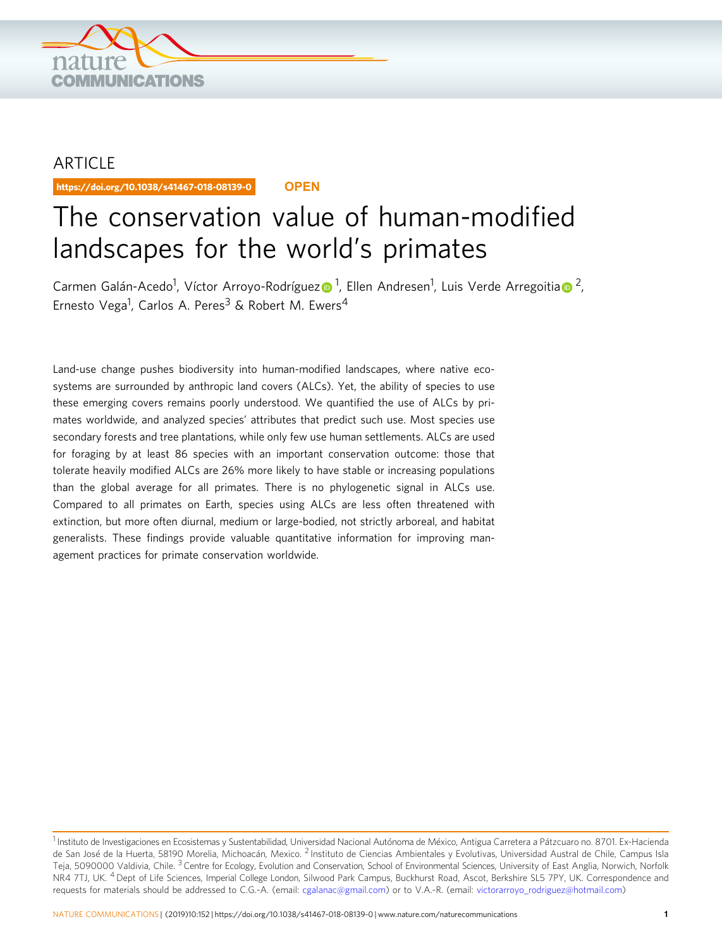

## ARTICLE

https://doi.org/10.1038/s41467-018-08139-0 **OPEN**

# The conservation value of human-modified landscapes for the world's primates

Carmen Galán-Acedo<sup>1</sup>, Víctor Arroyo-Rodrígue[z](http://orcid.org/0000-0002-0858-0324) D<sup>[1](http://orcid.org/0000-0002-0858-0324)</sup>, Ellen Andresen<sup>1</sup>, Luis Verde Arregoiti[a](http://orcid.org/0000-0001-9520-6543) D<sup>[2](http://orcid.org/0000-0001-9520-6543)</sup>, Ernesto Vega<sup>1</sup>, Carlos A. Peres<sup>3</sup> & Robert M. Ewers<sup>4</sup>

Land-use change pushes biodiversity into human-modified landscapes, where native ecosystems are surrounded by anthropic land covers (ALCs). Yet, the ability of species to use these emerging covers remains poorly understood. We quantified the use of ALCs by primates worldwide, and analyzed species' attributes that predict such use. Most species use secondary forests and tree plantations, while only few use human settlements. ALCs are used for foraging by at least 86 species with an important conservation outcome: those that tolerate heavily modified ALCs are 26% more likely to have stable or increasing populations than the global average for all primates. There is no phylogenetic signal in ALCs use. Compared to all primates on Earth, species using ALCs are less often threatened with extinction, but more often diurnal, medium or large-bodied, not strictly arboreal, and habitat generalists. These findings provide valuable quantitative information for improving management practices for primate conservation worldwide.

<sup>&</sup>lt;sup>1</sup> Instituto de Investigaciones en Ecosistemas y Sustentabilidad, Universidad Nacional Autónoma de México, Antigua Carretera a Pátzcuaro no. 8701. Ex-Hacienda de San José de la Huerta, 58190 Morelia, Michoacán, Mexico. <sup>2</sup> Instituto de Ciencias Ambientales y Evolutivas, Universidad Austral de Chile, Campus Isla Teja, 5090000 Valdivia, Chile. <sup>3</sup> Centre for Ecology, Evolution and Conservation, School of Environmental Sciences, University of East Anglia, Norwich, Norfolk NR4 7TJ, UK. <sup>4</sup> Dept of Life Sciences, Imperial College London, Silwood Park Campus, Buckhurst Road, Ascot, Berkshire SL5 7PY, UK. Correspondence and requests for materials should be addressed to C.G.-A. (email: [cgalanac@gmail.com](mailto:cgalanac@gmail.com)) or to V.A.-R. (email: [victorarroyo\\_rodriguez@hotmail.com](mailto:victorarroyo_rodriguez@hotmail.com))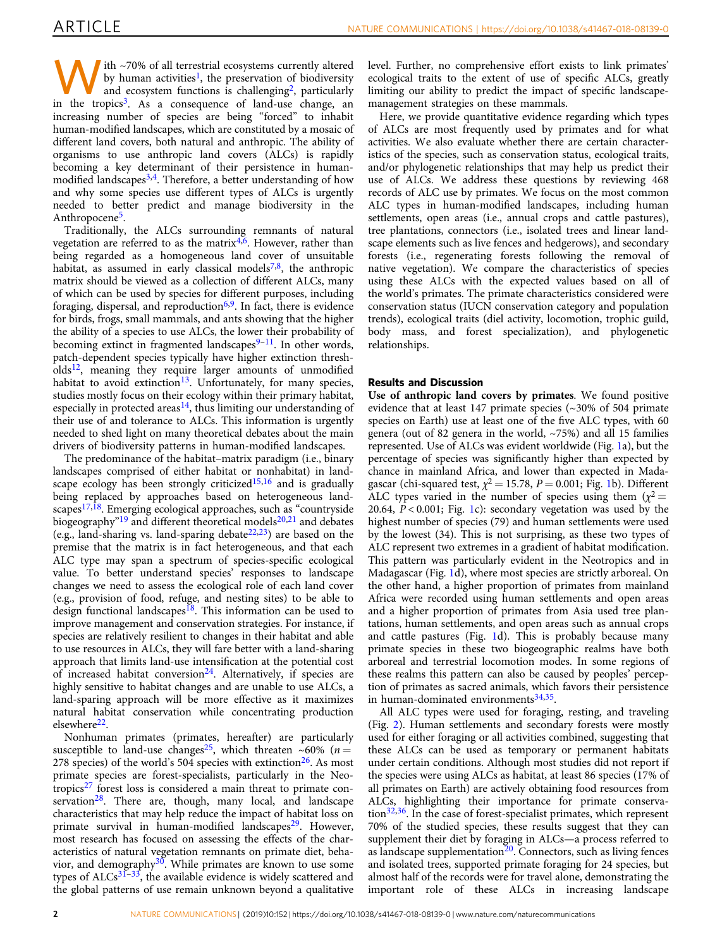ith  $~10\%$  of all terrestrial ecosystems currently altered by human activities<sup>[1](#page-6-0)</sup>, the preservation of biodiversity and ecosystem functions is challenging<sup>[2](#page-6-0)</sup>, particularly in the tropics<sup>[3](#page-6-0)</sup>. As a consequence of land-use change, an increasing number of species are being "forced" to inhabit human-modified landscapes, which are constituted by a mosaic of different land covers, both natural and anthropic. The ability of organisms to use anthropic land covers (ALCs) is rapidly becoming a key determinant of their persistence in human-modified landscapes<sup>[3](#page-6-0),[4](#page-6-0)</sup>. Therefore, a better understanding of how and why some species use different types of ALCs is urgently needed to better predict and manage biodiversity in the Anthropocene<sup>5</sup>.

Traditionally, the ALCs surrounding remnants of natural vegetation are referred to as the matrix<sup>4,6</sup>. However, rather than being regarded as a homogeneous land cover of unsuitable habitat, as assumed in early classical models<sup>7,8</sup>, the anthropic matrix should be viewed as a collection of different ALCs, many of which can be used by species for different purposes, including foraging, dispersal, and reproduction<sup>[6](#page-6-0),[9](#page-6-0)</sup>. In fact, there is evidence for birds, frogs, small mammals, and ants showing that the higher the ability of a species to use ALCs, the lower their probability of becoming extinct in fragmented landscapes $9-11$  $9-11$ . In other words, patch-dependent species typically have higher extinction thresh- $olds<sup>12</sup>$  $olds<sup>12</sup>$  $olds<sup>12</sup>$ , meaning they require larger amounts of unmodified habitat to avoid extinction<sup>[13](#page-6-0)</sup>. Unfortunately, for many species, studies mostly focus on their ecology within their primary habitat, especially in protected areas<sup>[14](#page-6-0)</sup>, thus limiting our understanding of their use of and tolerance to ALCs. This information is urgently needed to shed light on many theoretical debates about the main drivers of biodiversity patterns in human-modified landscapes.

The predominance of the habitat–matrix paradigm (i.e., binary landscapes comprised of either habitat or nonhabitat) in landscape ecology has been strongly criticized $15,16$  and is gradually being replaced by approaches based on heterogeneous landscapes<sup>17,18</sup>. Emerging ecological approaches, such as "countryside biogeography"<sup>[19](#page-6-0)</sup> and different theoretical models<sup>[20,21](#page-6-0)</sup> and debates (e.g., land-sharing vs. land-sparing debate $22,23$ ) are based on the premise that the matrix is in fact heterogeneous, and that each ALC type may span a spectrum of species-specific ecological value. To better understand species' responses to landscape changes we need to assess the ecological role of each land cover (e.g., provision of food, refuge, and nesting sites) to be able to design functional landscapes<sup>18</sup>. This information can be used to improve management and conservation strategies. For instance, if species are relatively resilient to changes in their habitat and able to use resources in ALCs, they will fare better with a land-sharing approach that limits land-use intensification at the potential cost of increased habitat conversion<sup>[24](#page-6-0)</sup>. Alternatively, if species are highly sensitive to habitat changes and are unable to use ALCs, a land-sparing approach will be more effective as it maximizes natural habitat conservation while concentrating production elsewhere<sup>[22](#page-6-0)</sup>.

Nonhuman primates (primates, hereafter) are particularly susceptible to land-use changes<sup>25</sup>, which threaten ~60% ( $n =$ 278 species) of the world's 504 species with extinction<sup>26</sup>. As most primate species are forest-specialists, particularly in the Neotropics<sup>27</sup> forest loss is considered a main threat to primate conservation $28$ . There are, though, many local, and landscape characteristics that may help reduce the impact of habitat loss on primate survival in human-modified landscapes<sup>[29](#page-6-0)</sup>. However, most research has focused on assessing the effects of the characteristics of natural vegetation remnants on primate diet, behavior, and demography<sup>30</sup>. While primates are known to use some types of  $ALCs^{31-33}$  $ALCs^{31-33}$  $ALCs^{31-33}$ , the available evidence is widely scattered and the global patterns of use remain unknown beyond a qualitative level. Further, no comprehensive effort exists to link primates' ecological traits to the extent of use of specific ALCs, greatly limiting our ability to predict the impact of specific landscapemanagement strategies on these mammals.

Here, we provide quantitative evidence regarding which types of ALCs are most frequently used by primates and for what activities. We also evaluate whether there are certain characteristics of the species, such as conservation status, ecological traits, and/or phylogenetic relationships that may help us predict their use of ALCs. We address these questions by reviewing 468 records of ALC use by primates. We focus on the most common ALC types in human-modified landscapes, including human settlements, open areas (i.e., annual crops and cattle pastures), tree plantations, connectors (i.e., isolated trees and linear landscape elements such as live fences and hedgerows), and secondary forests (i.e., regenerating forests following the removal of native vegetation). We compare the characteristics of species using these ALCs with the expected values based on all of the world's primates. The primate characteristics considered were conservation status (IUCN conservation category and population trends), ecological traits (diel activity, locomotion, trophic guild, body mass, and forest specialization), and phylogenetic relationships.

### Results and Discussion

Use of anthropic land covers by primates. We found positive evidence that at least 147 primate species (~30% of 504 primate species on Earth) use at least one of the five ALC types, with 60 genera (out of 82 genera in the world, ~75%) and all 15 families represented. Use of ALCs was evident worldwide (Fig. [1](#page-2-0)a), but the percentage of species was significantly higher than expected by chance in mainland Africa, and lower than expected in Madagascar (chi-squared test,  $\chi^2 = 15.78$ ,  $P = 0.001$ ; Fig. [1b](#page-2-0)). Different ALC types varied in the number of species using them  $(\chi^2 =$ 20.64,  $P < 0.001$ ; Fig. [1c](#page-2-0)): secondary vegetation was used by the highest number of species (79) and human settlements were used by the lowest (34). This is not surprising, as these two types of ALC represent two extremes in a gradient of habitat modification. This pattern was particularly evident in the Neotropics and in Madagascar (Fig. [1d](#page-2-0)), where most species are strictly arboreal. On the other hand, a higher proportion of primates from mainland Africa were recorded using human settlements and open areas and a higher proportion of primates from Asia used tree plantations, human settlements, and open areas such as annual crops and cattle pastures (Fig. [1](#page-2-0)d). This is probably because many primate species in these two biogeographic realms have both arboreal and terrestrial locomotion modes. In some regions of these realms this pattern can also be caused by peoples' perception of primates as sacred animals, which favors their persistence in human-dominated environments $34,35$  $34,35$  $34,35$ .

All ALC types were used for foraging, resting, and traveling (Fig. [2\)](#page-2-0). Human settlements and secondary forests were mostly used for either foraging or all activities combined, suggesting that these ALCs can be used as temporary or permanent habitats under certain conditions. Although most studies did not report if the species were using ALCs as habitat, at least 86 species (17% of all primates on Earth) are actively obtaining food resources from ALCs, highlighting their importance for primate conservation[32](#page-6-0),[36.](#page-6-0) In the case of forest-specialist primates, which represent 70% of the studied species, these results suggest that they can supplement their diet by foraging in ALCs—a process referred to as landscape supplementation<sup>[20](#page-6-0)</sup>. Connectors, such as living fences and isolated trees, supported primate foraging for 24 species, but almost half of the records were for travel alone, demonstrating the important role of these ALCs in increasing landscape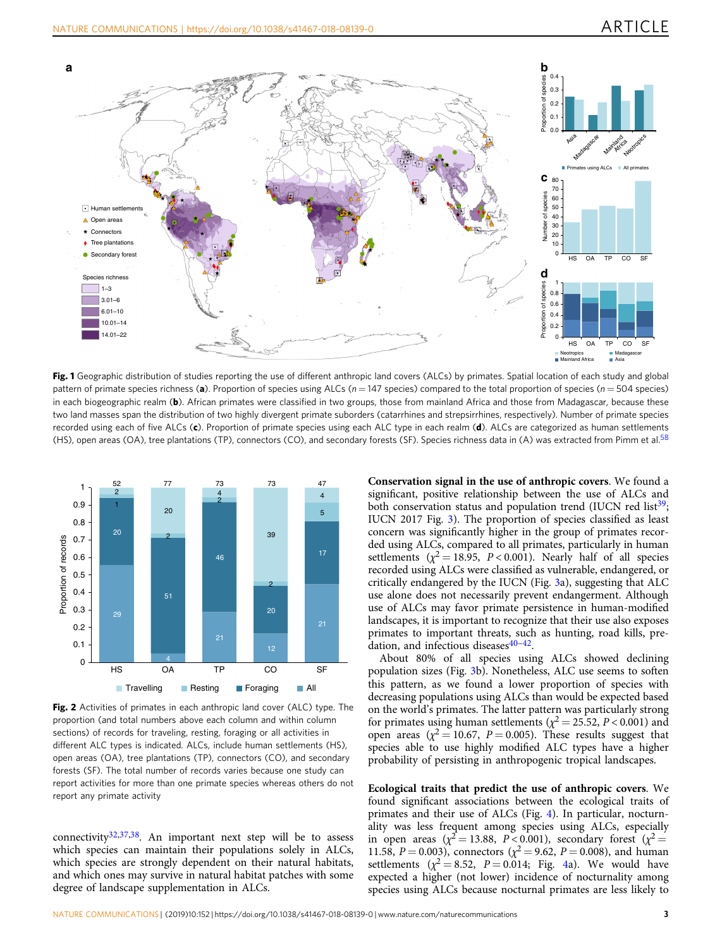<span id="page-2-0"></span>

Fig. 1 Geographic distribution of studies reporting the use of different anthropic land covers (ALCs) by primates. Spatial location of each study and global pattern of primate species richness (a). Proportion of species using ALCs ( $n = 147$  species) compared to the total proportion of species ( $n = 504$  species) in each biogeographic realm (b). African primates were classified in two groups, those from mainland Africa and those from Madagascar, because these two land masses span the distribution of two highly divergent primate suborders (catarrhines and strepsirrhines, respectively). Number of primate species recorded using each of five ALCs (c). Proportion of primate species using each ALC type in each realm  $(d)$ . ALCs are categorized as human settlements (HS), open areas (OA), tree plantations (TP), connectors (CO), and secondary forests (SF). Species richness data in (A) was extracted from Pimm et al.[58](#page-7-0)



Fig. 2 Activities of primates in each anthropic land cover (ALC) type. The proportion (and total numbers above each column and within column sections) of records for traveling, resting, foraging or all activities in different ALC types is indicated. ALCs, include human settlements (HS), open areas (OA), tree plantations (TP), connectors (CO), and secondary forests (SF). The total number of records varies because one study can report activities for more than one primate species whereas others do not report any primate activity

connectivity<sup>[32](#page-6-0),37,38</sup>. An important next step will be to assess which species can maintain their populations solely in ALCs, which species are strongly dependent on their natural habitats, and which ones may survive in natural habitat patches with some degree of landscape supplementation in ALCs.

Conservation signal in the use of anthropic covers. We found a significant, positive relationship between the use of ALCs and both conservation status and population trend (IUCN red  $list^{39}$ ; IUCN 2017 Fig. [3\)](#page-3-0). The proportion of species classified as least concern was significantly higher in the group of primates recorded using ALCs, compared to all primates, particularly in human settlements ( $\chi^2 = 18.95$ ,  $P < 0.001$ ). Nearly half of all species recorded using ALCs were classified as vulnerable, endangered, or critically endangered by the IUCN (Fig. [3](#page-3-0)a), suggesting that ALC use alone does not necessarily prevent endangerment. Although use of ALCs may favor primate persistence in human-modified landscapes, it is important to recognize that their use also exposes primates to important threats, such as hunting, road kills, predation, and infectious diseases $40-42$  $40-42$  $40-42$ .

About 80% of all species using ALCs showed declining population sizes (Fig. [3b](#page-3-0)). Nonetheless, ALC use seems to soften this pattern, as we found a lower proportion of species with decreasing populations using ALCs than would be expected based on the world's primates. The latter pattern was particularly strong for primates using human settlements ( $\chi^2$  = 25.52, P < 0.001) and open areas ( $\chi^2 = 10.67$ ,  $P = 0.005$ ). These results suggest that species able to use highly modified ALC types have a higher probability of persisting in anthropogenic tropical landscapes.

Ecological traits that predict the use of anthropic covers. We found significant associations between the ecological traits of primates and their use of ALCs (Fig. [4](#page-4-0)). In particular, nocturnality was less frequent among species using ALCs, especially in open areas ( $\chi^2$  = 13.88, P < 0.001), secondary forest ( $\chi^2$  = 11.58,  $P = 0.003$ ), connectors ( $\chi^2 = 9.62$ ,  $P = 0.008$ ), and human settlements  $(\chi^2 = 8.52, P = 0.014;$  Fig. [4a](#page-4-0)). We would have expected a higher (not lower) incidence of nocturnality among species using ALCs because nocturnal primates are less likely to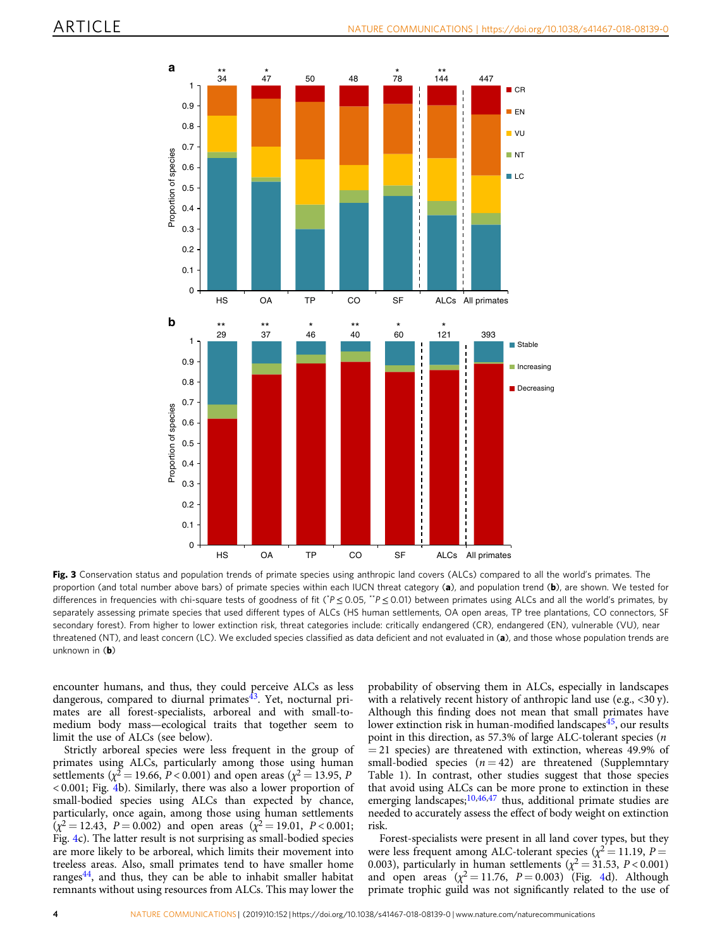<span id="page-3-0"></span>

Fig. 3 Conservation status and population trends of primate species using anthropic land covers (ALCs) compared to all the world's primates. The proportion (and total number above bars) of primate species within each IUCN threat category (a), and population trend (b), are shown. We tested for differences in frequencies with chi-square tests of goodness of fit (\*P  $\leq$  0.05, \*\*P  $\leq$  0.01) between primates using ALCs and all the world's primates, by separately assessing primate species that used different types of ALCs (HS human settlements, OA open areas, TP tree plantations, CO connectors, SF secondary forest). From higher to lower extinction risk, threat categories include: critically endangered (CR), endangered (EN), vulnerable (VU), near threatened (NT), and least concern (LC). We excluded species classified as data deficient and not evaluated in (a), and those whose population trends are unknown in (b)

encounter humans, and thus, they could perceive ALCs as less dangerous, compared to diurnal primates<sup>43</sup>. Yet, nocturnal primates are all forest-specialists, arboreal and with small-tomedium body mass—ecological traits that together seem to limit the use of ALCs (see below).

Strictly arboreal species were less frequent in the group of primates using ALCs, particularly among those using human settlements ( $\chi^2$  = 19.66, P < 0.001) and open areas ( $\chi^2$  = 13.95, P < 0.001; Fig. [4b](#page-4-0)). Similarly, there was also a lower proportion of small-bodied species using ALCs than expected by chance, particularly, once again, among those using human settlements  $(\chi^2 = 12.43, P = 0.002)$  and open areas  $(\chi^2 = 19.01, P < 0.001;$ Fig. [4](#page-4-0)c). The latter result is not surprising as small-bodied species are more likely to be arboreal, which limits their movement into treeless areas. Also, small primates tend to have smaller home ranges $44$ , and thus, they can be able to inhabit smaller habitat remnants without using resources from ALCs. This may lower the

probability of observing them in ALCs, especially in landscapes with a relatively recent history of anthropic land use (e.g., <30 y). Although this finding does not mean that small primates have lower extinction risk in human-modified landscapes<sup>45</sup>, our results point in this direction, as 57.3% of large ALC-tolerant species (n  $= 21$  species) are threatened with extinction, whereas 49.9% of small-bodied species  $(n = 42)$  are threatened (Supplemntary Table 1). In contrast, other studies suggest that those species that avoid using ALCs can be more prone to extinction in these emerging landscapes; $10,46,47$  $10,46,47$  $10,46,47$  $10,46,47$  $10,46,47$  thus, additional primate studies are needed to accurately assess the effect of body weight on extinction risk.

Forest-specialists were present in all land cover types, but they were less frequent among ALC-tolerant species ( $\chi^2$  = 11.19, P = 0.003), particularly in human settlements ( $\chi^2$  = 31.53, P < 0.001) and open areas  $(\chi^2 = 11.76, P = 0.003)$  (Fig. [4](#page-4-0)d). Although primate trophic guild was not significantly related to the use of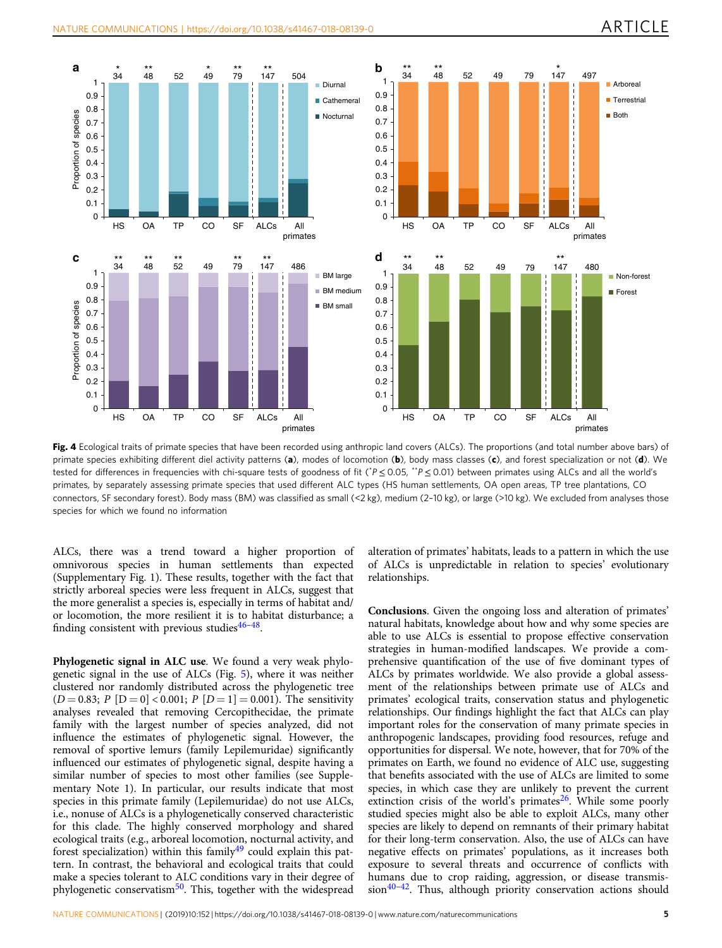<span id="page-4-0"></span>



Fig. 4 Ecological traits of primate species that have been recorded using anthropic land covers (ALCs). The proportions (and total number above bars) of primate species exhibiting different diel activity patterns (a), modes of locomotion (b), body mass classes (c), and forest specialization or not (d). We tested for differences in frequencies with chi-square tests of goodness of fit ( $\dot{P} \le 0.05$ ,  $\dot{P} \le 0.01$ ) between primates using ALCs and all the world's primates, by separately assessing primate species that used different ALC types (HS human settlements, OA open areas, TP tree plantations, CO connectors, SF secondary forest). Body mass (BM) was classified as small (<2 kg), medium (2-10 kg), or large (>10 kg). We excluded from analyses those species for which we found no information

ALCs, there was a trend toward a higher proportion of omnivorous species in human settlements than expected (Supplementary Fig. 1). These results, together with the fact that strictly arboreal species were less frequent in ALCs, suggest that the more generalist a species is, especially in terms of habitat and/ or locomotion, the more resilient it is to habitat disturbance; a finding consistent with previous studies $46-48$ .

Phylogenetic signal in ALC use. We found a very weak phylogenetic signal in the use of ALCs (Fig. [5\)](#page-5-0), where it was neither clustered nor randomly distributed across the phylogenetic tree  $(D = 0.83; P[D = 0] < 0.001; P[D = 1] = 0.001$ . The sensitivity analyses revealed that removing Cercopithecidae, the primate family with the largest number of species analyzed, did not influence the estimates of phylogenetic signal. However, the removal of sportive lemurs (family Lepilemuridae) significantly influenced our estimates of phylogenetic signal, despite having a similar number of species to most other families (see Supplementary Note 1). In particular, our results indicate that most species in this primate family (Lepilemuridae) do not use ALCs, i.e., nonuse of ALCs is a phylogenetically conserved characteristic for this clade. The highly conserved morphology and shared ecological traits (e.g., arboreal locomotion, nocturnal activity, and forest specialization) within this family<sup>[49](#page-7-0)</sup> could explain this pattern. In contrast, the behavioral and ecological traits that could make a species tolerant to ALC conditions vary in their degree of phylogenetic conservatism $50$ . This, together with the widespread

alteration of primates' habitats, leads to a pattern in which the use of ALCs is unpredictable in relation to species' evolutionary relationships.

Conclusions. Given the ongoing loss and alteration of primates' natural habitats, knowledge about how and why some species are able to use ALCs is essential to propose effective conservation strategies in human-modified landscapes. We provide a comprehensive quantification of the use of five dominant types of ALCs by primates worldwide. We also provide a global assessment of the relationships between primate use of ALCs and primates' ecological traits, conservation status and phylogenetic relationships. Our findings highlight the fact that ALCs can play important roles for the conservation of many primate species in anthropogenic landscapes, providing food resources, refuge and opportunities for dispersal. We note, however, that for 70% of the primates on Earth, we found no evidence of ALC use, suggesting that benefits associated with the use of ALCs are limited to some species, in which case they are unlikely to prevent the current extinction crisis of the world's primates $26$ . While some poorly studied species might also be able to exploit ALCs, many other species are likely to depend on remnants of their primary habitat for their long-term conservation. Also, the use of ALCs can have negative effects on primates' populations, as it increases both exposure to several threats and occurrence of conflicts with humans due to crop raiding, aggression, or disease transmis- $sion<sup>40–42</sup>$  $sion<sup>40–42</sup>$  $sion<sup>40–42</sup>$ . Thus, although priority conservation actions should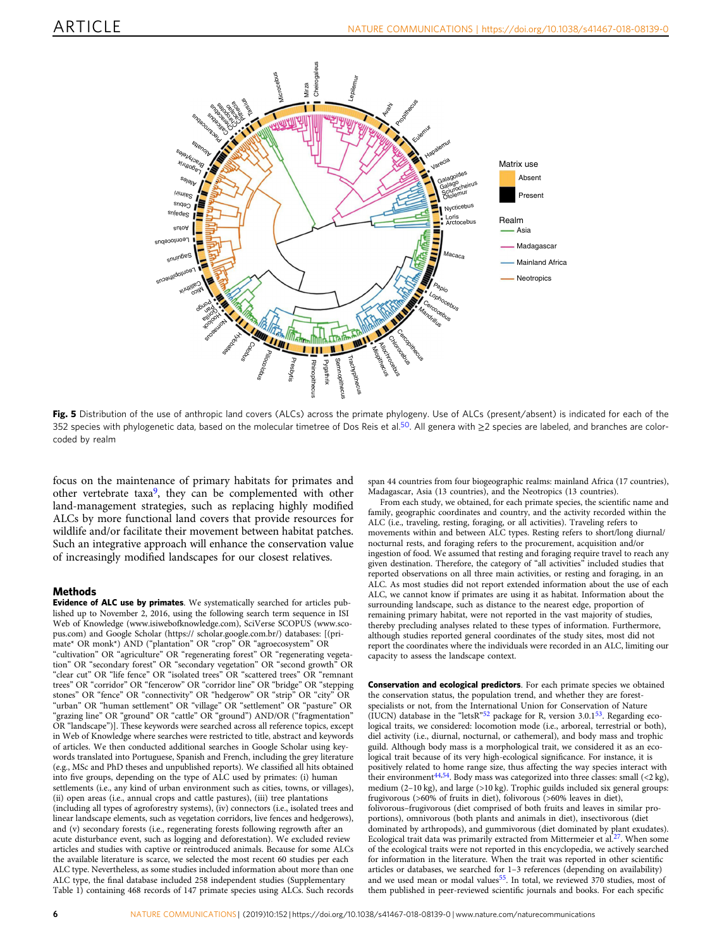<span id="page-5-0"></span>

Fig. 5 Distribution of the use of anthropic land covers (ALCs) across the primate phylogeny. Use of ALCs (present/absent) is indicated for each of the 352 species with phylogenetic data, based on the molecular timetree of Dos Reis et al.<sup>50</sup>. All genera with  $\geq$ 2 species are labeled, and branches are colorcoded by realm

focus on the maintenance of primary habitats for primates and other vertebrate taxa<sup>9</sup>, they can be complemented with other land-management strategies, such as replacing highly modified ALCs by more functional land covers that provide resources for wildlife and/or facilitate their movement between habitat patches. Such an integrative approach will enhance the conservation value of increasingly modified landscapes for our closest relatives.

#### Methods

Evidence of ALC use by primates. We systematically searched for articles published up to November 2, 2016, using the following search term sequence in ISI Web of Knowledge (www.isiwebofknowledge.com), SciVerse SCOPUS (www.scopus.com) and Google Scholar (https:// scholar.google.com.br/) databases: [(primate\* OR monk\*) AND ("plantation" OR "crop" OR "agroecosystem" OR "cultivation" OR "agriculture" OR "regenerating forest" OR "regenerating vegetation" OR "secondary forest" OR "secondary vegetation" OR "second growth" OR "clear cut" OR "life fence" OR "isolated trees" OR "scattered trees" OR "remnant trees" OR "corridor" OR "fencerow" OR "corridor line" OR "bridge" OR "stepping stones" OR "fence" OR "connectivity" OR "hedgerow" OR "strip" OR "city" OR "urban" OR "human settlement" OR "village" OR "settlement" OR "pasture" OR "grazing line" OR "ground" OR "cattle" OR "ground") AND/OR ("fragmentation" OR "landscape")]. These keywords were searched across all reference topics, except in Web of Knowledge where searches were restricted to title, abstract and keywords of articles. We then conducted additional searches in Google Scholar using keywords translated into Portuguese, Spanish and French, including the grey literature (e.g., MSc and PhD theses and unpublished reports). We classified all hits obtained into five groups, depending on the type of ALC used by primates: (i) human settlements (i.e., any kind of urban environment such as cities, towns, or villages), (ii) open areas (i.e., annual crops and cattle pastures), (iii) tree plantations (including all types of agroforestry systems), (iv) connectors (i.e., isolated trees and linear landscape elements, such as vegetation corridors, live fences and hedgerows), and (v) secondary forests (i.e., regenerating forests following regrowth after an acute disturbance event, such as logging and deforestation). We excluded review articles and studies with captive or reintroduced animals. Because for some ALCs the available literature is scarce, we selected the most recent 60 studies per each ALC type. Nevertheless, as some studies included information about more than one ALC type, the final database included 258 independent studies (Supplementary Table 1) containing 468 records of 147 primate species using ALCs. Such records

span 44 countries from four biogeographic realms: mainland Africa (17 countries), Madagascar, Asia (13 countries), and the Neotropics (13 countries).

From each study, we obtained, for each primate species, the scientific name and family, geographic coordinates and country, and the activity recorded within the ALC (i.e., traveling, resting, foraging, or all activities). Traveling refers to movements within and between ALC types. Resting refers to short/long diurnal/ nocturnal rests, and foraging refers to the procurement, acquisition and/or ingestion of food. We assumed that resting and foraging require travel to reach any given destination. Therefore, the category of "all activities" included studies that reported observations on all three main activities, or resting and foraging, in an ALC. As most studies did not report extended information about the use of each ALC, we cannot know if primates are using it as habitat. Information about the surrounding landscape, such as distance to the nearest edge, proportion of remaining primary habitat, were not reported in the vast majority of studies, thereby precluding analyses related to these types of information. Furthermore, although studies reported general coordinates of the study sites, most did not report the coordinates where the individuals were recorded in an ALC, limiting our capacity to assess the landscape context.

Conservation and ecological predictors. For each primate species we obtained the conservation status, the population trend, and whether they are forestspecialists or not, from the International Union for Conservation of Nature (IUCN) database in the "letsR"<sup>[52](#page-7-0)</sup> package for R, version 3.0.1<sup>53</sup>. Regarding ecological traits, we considered: locomotion mode (i.e., arboreal, terrestrial or both), diel activity (i.e., diurnal, nocturnal, or cathemeral), and body mass and trophic guild. Although body mass is a morphological trait, we considered it as an ecological trait because of its very high-ecological significance. For instance, it is positively related to home range size, thus affecting the way species interact with their environment<sup>44,54</sup>. Body mass was categorized into three classes: small  $(2 \text{ kg})$ , medium (2–10 kg), and large (>10 kg). Trophic guilds included six general groups: frugivorous (>60% of fruits in diet), folivorous (>60% leaves in diet), folivorous–frugivorous (diet comprised of both fruits and leaves in similar proportions), omnivorous (both plants and animals in diet), insectivorous (diet dominated by arthropods), and gummivorous (diet dominated by plant exudates). Ecological trait data was primarily extracted from Mittermeier et al.<sup>27</sup>. When some of the ecological traits were not reported in this encyclopedia, we actively searched for information in the literature. When the trait was reported in other scientific articles or databases, we searched for 1–3 references (depending on availability) and we used mean or modal values<sup>[55](#page-7-0)</sup>. In total, we reviewed 370 studies, most of them published in peer-reviewed scientific journals and books. For each specific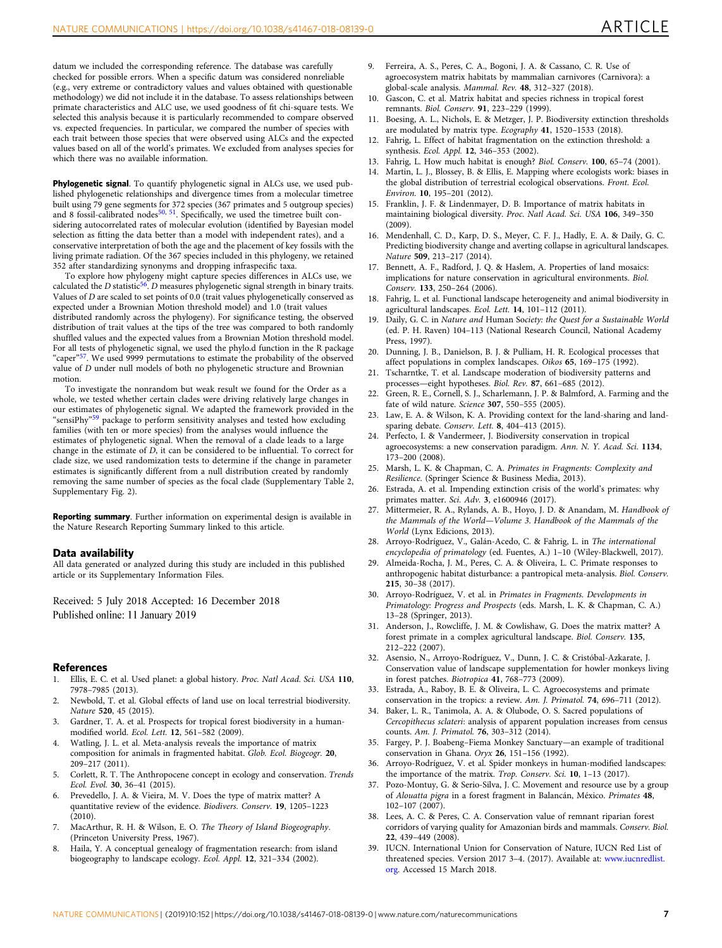<span id="page-6-0"></span>datum we included the corresponding reference. The database was carefully checked for possible errors. When a specific datum was considered nonreliable (e.g., very extreme or contradictory values and values obtained with questionable methodology) we did not include it in the database. To assess relationships between primate characteristics and ALC use, we used goodness of fit chi-square tests. We selected this analysis because it is particularly recommended to compare observed vs. expected frequencies. In particular, we compared the number of species with each trait between those species that were observed using ALCs and the expected values based on all of the world's primates. We excluded from analyses species for which there was no available information.

Phylogenetic signal. To quantify phylogenetic signal in ALCs use, we used published phylogenetic relationships and divergence times from a molecular timetree built using 79 gene segments for 372 species (367 primates and 5 outgroup species) and 8 fossil-calibrated nodes<sup>[50](#page-7-0), [51](#page-7-0)</sup>. Specifically, we used the timetree built considering autocorrelated rates of molecular evolution (identified by Bayesian model selection as fitting the data better than a model with independent rates), and a conservative interpretation of both the age and the placement of key fossils with the living primate radiation. Of the 367 species included in this phylogeny, we retained 352 after standardizing synonyms and dropping infraspecific taxa.

To explore how phylogeny might capture species differences in ALCs use, we calculated the  $D$  statistic<sup>[56](#page-7-0)</sup>. D measures phylogenetic signal strength in binary traits. Values of D are scaled to set points of 0.0 (trait values phylogenetically conserved as expected under a Brownian Motion threshold model) and 1.0 (trait values distributed randomly across the phylogeny). For significance testing, the observed distribution of trait values at the tips of the tree was compared to both randomly shuffled values and the expected values from a Brownian Motion threshold model. For all tests of phylogenetic signal, we used the phylo.d function in the R package "caper"[57](#page-7-0). We used 9999 permutations to estimate the probability of the observed value of D under null models of both no phylogenetic structure and Brownian motion.

To investigate the nonrandom but weak result we found for the Order as a whole, we tested whether certain clades were driving relatively large changes in our estimates of phylogenetic signal. We adapted the framework provided in the "sensiPhy"<sup>[59](#page-7-0)</sup> package to perform sensitivity analyses and tested how excluding families (with ten or more species) from the analyses would influence the estimates of phylogenetic signal. When the removal of a clade leads to a large change in the estimate of D, it can be considered to be influential. To correct for clade size, we used randomization tests to determine if the change in parameter estimates is significantly different from a null distribution created by randomly removing the same number of species as the focal clade (Supplementary Table 2, Supplementary Fig. 2).

Reporting summary. Further information on experimental design is available in the Nature Research Reporting Summary linked to this article.

#### Data availability

All data generated or analyzed during this study are included in this published article or its Supplementary Information Files.

Received: 5 July 2018 Accepted: 16 December 2018 Published online: 11 January 2019

#### References

- 1. Ellis, E. C. et al. Used planet: a global history. Proc. Natl Acad. Sci. USA 110, 7978–7985 (2013).
- 2. Newbold, T. et al. Global effects of land use on local terrestrial biodiversity. Nature 520, 45 (2015).
- 3. Gardner, T. A. et al. Prospects for tropical forest biodiversity in a humanmodified world. Ecol. Lett. 12, 561–582 (2009).
- 4. Watling, J. L. et al. Meta-analysis reveals the importance of matrix composition for animals in fragmented habitat. Glob. Ecol. Biogeogr. 20, 209–217 (2011).
- 5. Corlett, R. T. The Anthropocene concept in ecology and conservation. Trends Ecol. Evol. 30, 36–41 (2015).
- 6. Prevedello, J. A. & Vieira, M. V. Does the type of matrix matter? A quantitative review of the evidence. Biodivers. Conserv. 19, 1205–1223 (2010).
- 7. MacArthur, R. H. & Wilson, E. O. The Theory of Island Biogeography. (Princeton University Press, 1967).
- 8. Haila, Y. A conceptual genealogy of fragmentation research: from island biogeography to landscape ecology. Ecol. Appl. 12, 321–334 (2002).
- 9. Ferreira, A. S., Peres, C. A., Bogoni, J. A. & Cassano, C. R. Use of agroecosystem matrix habitats by mammalian carnivores (Carnivora): a global‐scale analysis. Mammal. Rev. 48, 312–327 (2018).
- Gascon, C. et al. Matrix habitat and species richness in tropical forest remnants. Biol. Conserv. 91, 223–229 (1999).
- Boesing, A. L., Nichols, E. & Metzger, J. P. Biodiversity extinction thresholds are modulated by matrix type. Ecography 41, 1520–1533 (2018).
- 12. Fahrig, L. Effect of habitat fragmentation on the extinction threshold: a synthesis. Ecol. Appl. 12, 346–353 (2002).
- 13. Fahrig, L. How much habitat is enough? Biol. Conserv. 100, 65–74 (2001).
- 14. Martin, L. J., Blossey, B. & Ellis, E. Mapping where ecologists work: biases in the global distribution of terrestrial ecological observations. Front. Ecol. Environ. 10, 195–201 (2012).
- 15. Franklin, J. F. & Lindenmayer, D. B. Importance of matrix habitats in maintaining biological diversity. Proc. Natl Acad. Sci. USA 106, 349–350 (2009).
- 16. Mendenhall, C. D., Karp, D. S., Meyer, C. F. J., Hadly, E. A. & Daily, G. C. Predicting biodiversity change and averting collapse in agricultural landscapes. Nature 509, 213–217 (2014).
- 17. Bennett, A. F., Radford, J. Q. & Haslem, A. Properties of land mosaics: implications for nature conservation in agricultural environments. Biol. Conserv. 133, 250–264 (2006).
- 18. Fahrig, L. et al. Functional landscape heterogeneity and animal biodiversity in agricultural landscapes. Ecol. Lett. 14, 101–112 (2011).
- 19. Daily, G. C. in Nature and Human Society: the Quest for a Sustainable World (ed. P. H. Raven) 104–113 (National Research Council, National Academy Press, 1997).
- 20. Dunning, J. B., Danielson, B. J. & Pulliam, H. R. Ecological processes that affect populations in complex landscapes. Oikos 65, 169–175 (1992).
- 21. Tscharntke, T. et al. Landscape moderation of biodiversity patterns and processes—eight hypotheses. Biol. Rev. 87, 661–685 (2012).
- 22. Green, R. E., Cornell, S. J., Scharlemann, J. P. & Balmford, A. Farming and the fate of wild nature. Science 307, 550–555 (2005).
- 23. Law, E. A. & Wilson, K. A. Providing context for the land-sharing and landsparing debate. Conserv. Lett. 8, 404–413 (2015).
- 24. Perfecto, I. & Vandermeer, J. Biodiversity conservation in tropical agroecosystems: a new conservation paradigm. Ann. N. Y. Acad. Sci. 1134, 173–200 (2008).
- 25. Marsh, L. K. & Chapman, C. A. Primates in Fragments: Complexity and Resilience. (Springer Science & Business Media, 2013).
- 26. Estrada, A. et al. Impending extinction crisis of the world's primates: why primates matter. Sci. Adv. 3, e1600946 (2017).
- 27. Mittermeier, R. A., Rylands, A. B., Hoyo, J. D. & Anandam, M. Handbook of the Mammals of the World—Volume 3. Handbook of the Mammals of the World (Lynx Edicions, 2013).
- 28. Arroyo-Rodríguez, V., Galán-Acedo, C. & Fahrig, L. in The international encyclopedia of primatology (ed. Fuentes, A.) 1–10 (Wiley-Blackwell, 2017).
- 29. Almeida-Rocha, J. M., Peres, C. A. & Oliveira, L. C. Primate responses to anthropogenic habitat disturbance: a pantropical meta-analysis. Biol. Conserv. 215, 30–38 (2017).
- 30. Arroyo-Rodríguez, V. et al. in Primates in Fragments. Developments in Primatology: Progress and Prospects (eds. Marsh, L. K. & Chapman, C. A.) 13–28 (Springer, 2013).
- 31. Anderson, J., Rowcliffe, J. M. & Cowlishaw, G. Does the matrix matter? A forest primate in a complex agricultural landscape. Biol. Conserv. 135, 212–222 (2007).
- 32. Asensio, N., Arroyo-Rodríguez, V., Dunn, J. C. & Cristóbal-Azkarate, J. Conservation value of landscape supplementation for howler monkeys living in forest patches. Biotropica 41, 768–773 (2009).
- 33. Estrada, A., Raboy, B. E. & Oliveira, L. C. Agroecosystems and primate conservation in the tropics: a review. Am. J. Primatol. 74, 696–711 (2012).
- 34. Baker, L. R., Tanimola, A. A. & Olubode, O. S. Sacred populations of Cercopithecus sclateri: analysis of apparent population increases from census counts. Am. J. Primatol. 76, 303–312 (2014).
- 35. Fargey, P. J. Boabeng–Fiema Monkey Sanctuary—an example of traditional conservation in Ghana. Oryx 26, 151–156 (1992).
- 36. Arroyo-Rodríguez, V. et al. Spider monkeys in human-modified landscapes: the importance of the matrix. Trop. Conserv. Sci. 10, 1-13 (2017).
- 37. Pozo-Montuy, G. & Serio-Silva, J. C. Movement and resource use by a group of Alouatta pigra in a forest fragment in Balancán, México. Primates 48, 102–107 (2007).
- 38. Lees, A. C. & Peres, C. A. Conservation value of remnant riparian forest corridors of varying quality for Amazonian birds and mammals. Conserv. Biol. 22, 439–449 (2008).
- 39. IUCN. International Union for Conservation of Nature, IUCN Red List of threatened species. Version 2017 3–4. (2017). Available at: [www.iucnredlist.](http://www.iucnredlist.org) [org](http://www.iucnredlist.org). Accessed 15 March 2018.